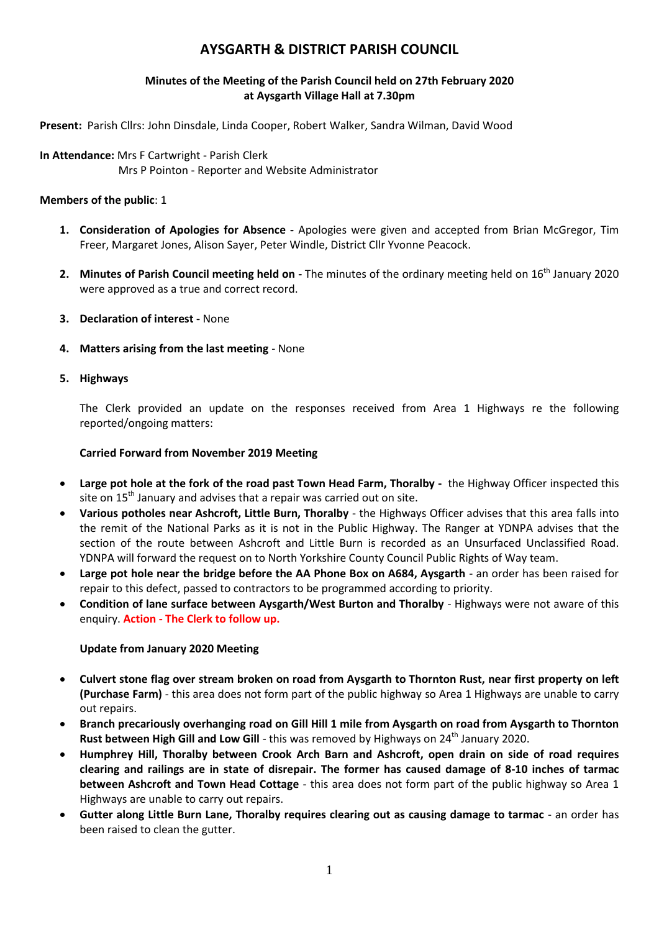# **AYSGARTH & DISTRICT PARISH COUNCIL**

# **Minutes of the Meeting of the Parish Council held on 27th February 2020 at Aysgarth Village Hall at 7.30pm**

**Present:** Parish Cllrs: John Dinsdale, Linda Cooper, Robert Walker, Sandra Wilman, David Wood

**In Attendance:** Mrs F Cartwright - Parish Clerk Mrs P Pointon - Reporter and Website Administrator

# **Members of the public**: 1

- **1. Consideration of Apologies for Absence -** Apologies were given and accepted from Brian McGregor, Tim Freer, Margaret Jones, Alison Sayer, Peter Windle, District Cllr Yvonne Peacock.
- **2.** Minutes of Parish Council meeting held on The minutes of the ordinary meeting held on 16<sup>th</sup> January 2020 were approved as a true and correct record.
- **3. Declaration of interest -** None
- **4. Matters arising from the last meeting** None
- **5. Highways**

The Clerk provided an update on the responses received from Area 1 Highways re the following reported/ongoing matters:

# **Carried Forward from November 2019 Meeting**

- **Large pot hole at the fork of the road past Town Head Farm, Thoralby** the Highway Officer inspected this site on  $15<sup>th</sup>$  January and advises that a repair was carried out on site.
- **Various potholes near Ashcroft, Little Burn, Thoralby** the Highways Officer advises that this area falls into the remit of the National Parks as it is not in the Public Highway. The Ranger at YDNPA advises that the section of the route between Ashcroft and Little Burn is recorded as an Unsurfaced Unclassified Road. YDNPA will forward the request on to North Yorkshire County Council Public Rights of Way team.
- **Large pot hole near the bridge before the AA Phone Box on A684, Aysgarth** an order has been raised for repair to this defect, passed to contractors to be programmed according to priority.
- **Condition of lane surface between Aysgarth/West Burton and Thoralby** Highways were not aware of this enquiry. **Action - The Clerk to follow up.**

# **Update from January 2020 Meeting**

- **Culvert stone flag over stream broken on road from Aysgarth to Thornton Rust, near first property on left (Purchase Farm)** - this area does not form part of the public highway so Area 1 Highways are unable to carry out repairs.
- **Branch precariously overhanging road on Gill Hill 1 mile from Aysgarth on road from Aysgarth to Thornton Rust between High Gill and Low Gill** - this was removed by Highways on 24<sup>th</sup> January 2020.
- **Humphrey Hill, Thoralby between Crook Arch Barn and Ashcroft, open drain on side of road requires clearing and railings are in state of disrepair. The former has caused damage of 8-10 inches of tarmac between Ashcroft and Town Head Cottage** - this area does not form part of the public highway so Area 1 Highways are unable to carry out repairs.
- **Gutter along Little Burn Lane, Thoralby requires clearing out as causing damage to tarmac** an order has been raised to clean the gutter.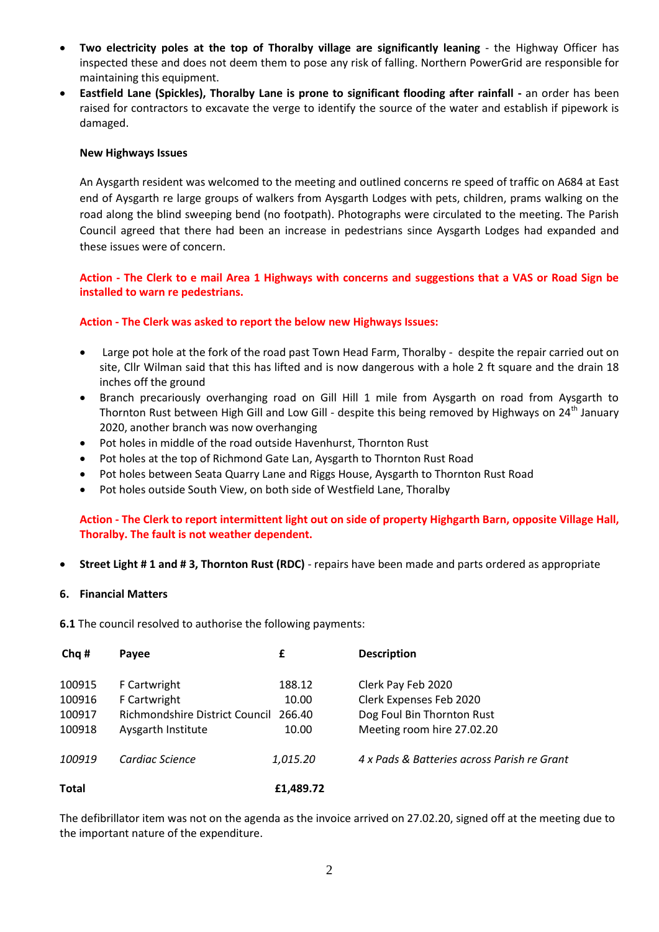- **Two electricity poles at the top of Thoralby village are significantly leaning** the Highway Officer has inspected these and does not deem them to pose any risk of falling. Northern PowerGrid are responsible for maintaining this equipment.
- **Eastfield Lane (Spickles), Thoralby Lane is prone to significant flooding after rainfall -** an order has been raised for contractors to excavate the verge to identify the source of the water and establish if pipework is damaged.

#### **New Highways Issues**

An Aysgarth resident was welcomed to the meeting and outlined concerns re speed of traffic on A684 at East end of Aysgarth re large groups of walkers from Aysgarth Lodges with pets, children, prams walking on the road along the blind sweeping bend (no footpath). Photographs were circulated to the meeting. The Parish Council agreed that there had been an increase in pedestrians since Aysgarth Lodges had expanded and these issues were of concern.

# **Action - The Clerk to e mail Area 1 Highways with concerns and suggestions that a VAS or Road Sign be installed to warn re pedestrians.**

#### **Action - The Clerk was asked to report the below new Highways Issues:**

- Large pot hole at the fork of the road past Town Head Farm, Thoralby despite the repair carried out on site, Cllr Wilman said that this has lifted and is now dangerous with a hole 2 ft square and the drain 18 inches off the ground
- Branch precariously overhanging road on Gill Hill 1 mile from Aysgarth on road from Aysgarth to Thornton Rust between High Gill and Low Gill - despite this being removed by Highways on  $24^{\text{th}}$  January 2020, another branch was now overhanging
- Pot holes in middle of the road outside Havenhurst, Thornton Rust
- Pot holes at the top of Richmond Gate Lan, Aysgarth to Thornton Rust Road
- Pot holes between Seata Quarry Lane and Riggs House, Aysgarth to Thornton Rust Road
- Pot holes outside South View, on both side of Westfield Lane, Thoralby

# **Action - The Clerk to report intermittent light out on side of property Highgarth Barn, opposite Village Hall, Thoralby. The fault is not weather dependent.**

**Street Light # 1 and # 3, Thornton Rust (RDC)** - repairs have been made and parts ordered as appropriate

#### **6. Financial Matters**

**6.1** The council resolved to authorise the following payments:

| Cha #  | Payee                          | £         | <b>Description</b>                          |
|--------|--------------------------------|-----------|---------------------------------------------|
| 100915 | F Cartwright                   | 188.12    | Clerk Pay Feb 2020                          |
| 100916 | F Cartwright                   | 10.00     | Clerk Expenses Feb 2020                     |
| 100917 | Richmondshire District Council | 266.40    | Dog Foul Bin Thornton Rust                  |
| 100918 | Aysgarth Institute             | 10.00     | Meeting room hire 27.02.20                  |
| 100919 | Cardiac Science                | 1,015.20  | 4 x Pads & Batteries across Parish re Grant |
| Total  |                                | £1,489.72 |                                             |

The defibrillator item was not on the agenda as the invoice arrived on 27.02.20, signed off at the meeting due to the important nature of the expenditure.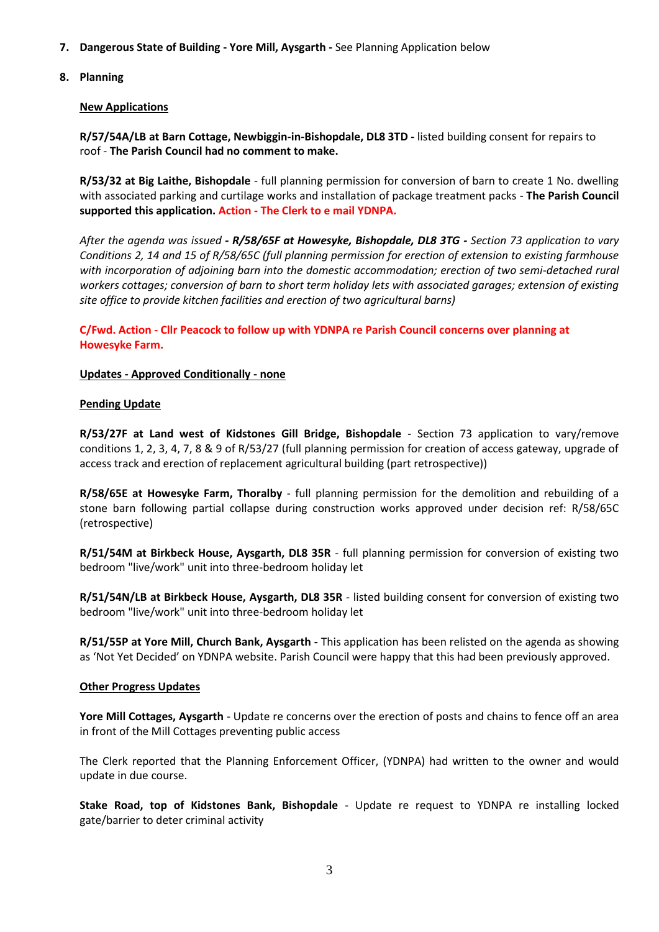- **7. Dangerous State of Building - Yore Mill, Aysgarth -** See Planning Application below
- **8. Planning**

### **New Applications**

**R/57/54A/LB at Barn Cottage, Newbiggin-in-Bishopdale, DL8 3TD -** listed building consent for repairs to roof - **The Parish Council had no comment to make.**

**R/53/32 at Big Laithe, Bishopdale** - full planning permission for conversion of barn to create 1 No. dwelling with associated parking and curtilage works and installation of package treatment packs - **The Parish Council supported this application. Action - The Clerk to e mail YDNPA.**

*After the agenda was issued - R/58/65F at Howesyke, Bishopdale, DL8 3TG - Section 73 application to vary Conditions 2, 14 and 15 of R/58/65C (full planning permission for erection of extension to existing farmhouse with incorporation of adjoining barn into the domestic accommodation; erection of two semi-detached rural workers cottages; conversion of barn to short term holiday lets with associated garages; extension of existing site office to provide kitchen facilities and erection of two agricultural barns)*

**C/Fwd. Action - Cllr Peacock to follow up with YDNPA re Parish Council concerns over planning at Howesyke Farm.**

# **Updates - Approved Conditionally - none**

#### **Pending Update**

**R/53/27F at Land west of Kidstones Gill Bridge, Bishopdale** - Section 73 application to vary/remove conditions 1, 2, 3, 4, 7, 8 & 9 of R/53/27 (full planning permission for creation of access gateway, upgrade of access track and erection of replacement agricultural building (part retrospective))

**R/58/65E at Howesyke Farm, Thoralby** - full planning permission for the demolition and rebuilding of a stone barn following partial collapse during construction works approved under decision ref: R/58/65C (retrospective)

**R/51/54M at Birkbeck House, Aysgarth, DL8 35R** - full planning permission for conversion of existing two bedroom "live/work" unit into three-bedroom holiday let

**R/51/54N/LB at Birkbeck House, Aysgarth, DL8 35R** - listed building consent for conversion of existing two bedroom "live/work" unit into three-bedroom holiday let

**R/51/55P at Yore Mill, Church Bank, Aysgarth -** This application has been relisted on the agenda as showing as 'Not Yet Decided' on YDNPA website. Parish Council were happy that this had been previously approved.

#### **Other Progress Updates**

**Yore Mill Cottages, Aysgarth** - Update re concerns over the erection of posts and chains to fence off an area in front of the Mill Cottages preventing public access

The Clerk reported that the Planning Enforcement Officer, (YDNPA) had written to the owner and would update in due course.

**Stake Road, top of Kidstones Bank, Bishopdale** - Update re request to YDNPA re installing locked gate/barrier to deter criminal activity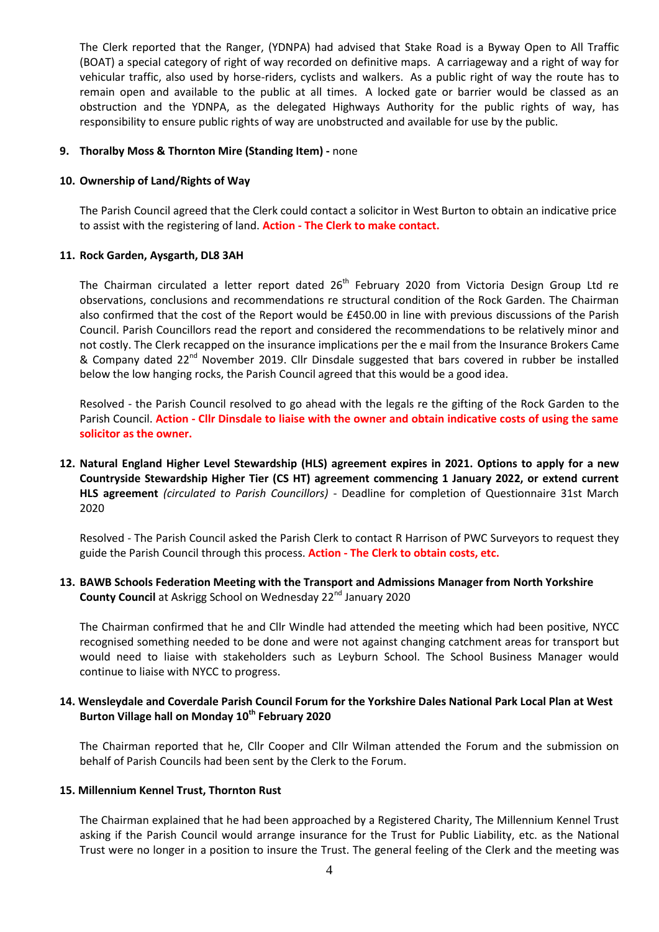The Clerk reported that the Ranger, (YDNPA) had advised that Stake Road is a Byway Open to All Traffic (BOAT) a special category of right of way recorded on definitive maps. A carriageway and a right of way for vehicular traffic, also used by horse-riders, cyclists and walkers. As a public right of way the route has to remain open and available to the public at all times. A locked gate or barrier would be classed as an obstruction and the YDNPA, as the delegated Highways Authority for the public rights of way, has responsibility to ensure public rights of way are unobstructed and available for use by the public.

#### **9. Thoralby Moss & Thornton Mire (Standing Item) -** none

#### **10. Ownership of Land/Rights of Way**

The Parish Council agreed that the Clerk could contact a solicitor in West Burton to obtain an indicative price to assist with the registering of land. **Action - The Clerk to make contact.**

# **11. Rock Garden, Aysgarth, DL8 3AH**

The Chairman circulated a letter report dated 26<sup>th</sup> February 2020 from Victoria Design Group Ltd re observations, conclusions and recommendations re structural condition of the Rock Garden. The Chairman also confirmed that the cost of the Report would be £450.00 in line with previous discussions of the Parish Council. Parish Councillors read the report and considered the recommendations to be relatively minor and not costly. The Clerk recapped on the insurance implications per the e mail from the Insurance Brokers Came & Company dated 22<sup>nd</sup> November 2019. Cllr Dinsdale suggested that bars covered in rubber be installed below the low hanging rocks, the Parish Council agreed that this would be a good idea.

Resolved - the Parish Council resolved to go ahead with the legals re the gifting of the Rock Garden to the Parish Council. **Action - Cllr Dinsdale to liaise with the owner and obtain indicative costs of using the same solicitor as the owner.** 

**12. Natural England Higher Level Stewardship (HLS) agreement expires in 2021. Options to apply for a new Countryside Stewardship Higher Tier (CS HT) agreement commencing 1 January 2022, or extend current HLS agreement** *(circulated to Parish Councillors)* - Deadline for completion of Questionnaire 31st March 2020

Resolved - The Parish Council asked the Parish Clerk to contact R Harrison of PWC Surveyors to request they guide the Parish Council through this process. **Action - The Clerk to obtain costs, etc.**

**13. BAWB Schools Federation Meeting with the Transport and Admissions Manager from North Yorkshire County Council** at Askrigg School on Wednesday 22<sup>nd</sup> January 2020

The Chairman confirmed that he and Cllr Windle had attended the meeting which had been positive, NYCC recognised something needed to be done and were not against changing catchment areas for transport but would need to liaise with stakeholders such as Leyburn School. The School Business Manager would continue to liaise with NYCC to progress.

# **14. Wensleydale and Coverdale Parish Council Forum for the Yorkshire Dales National Park Local Plan at West Burton Village hall on Monday 10th February 2020**

The Chairman reported that he, Cllr Cooper and Cllr Wilman attended the Forum and the submission on behalf of Parish Councils had been sent by the Clerk to the Forum.

#### **15. Millennium Kennel Trust, Thornton Rust**

The Chairman explained that he had been approached by a Registered Charity, The Millennium Kennel Trust asking if the Parish Council would arrange insurance for the Trust for Public Liability, etc. as the National Trust were no longer in a position to insure the Trust. The general feeling of the Clerk and the meeting was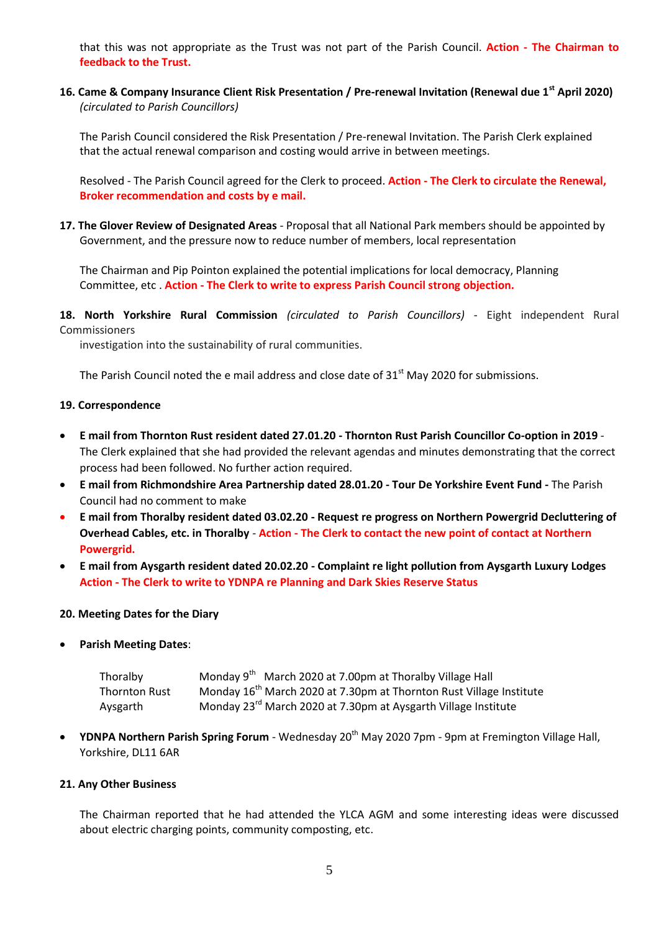that this was not appropriate as the Trust was not part of the Parish Council. **Action - The Chairman to feedback to the Trust.**

**16. Came & Company Insurance Client Risk Presentation / Pre-renewal Invitation (Renewal due 1st April 2020)** *(circulated to Parish Councillors)*

The Parish Council considered the Risk Presentation / Pre-renewal Invitation. The Parish Clerk explained that the actual renewal comparison and costing would arrive in between meetings.

Resolved - The Parish Council agreed for the Clerk to proceed. **Action - The Clerk to circulate the Renewal, Broker recommendation and costs by e mail.**

**17. The Glover Review of Designated Areas** - Proposal that all National Park members should be appointed by Government, and the pressure now to reduce number of members, local representation

The Chairman and Pip Pointon explained the potential implications for local democracy, Planning Committee, etc . **Action - The Clerk to write to express Parish Council strong objection.**

**18. North Yorkshire Rural Commission** *(circulated to Parish Councillors)* - Eight independent Rural Commissioners

investigation into the sustainability of rural communities.

The Parish Council noted the e mail address and close date of  $31<sup>st</sup>$  May 2020 for submissions.

#### **19. Correspondence**

- **E mail from Thornton Rust resident dated 27.01.20 - Thornton Rust Parish Councillor Co-option in 2019** The Clerk explained that she had provided the relevant agendas and minutes demonstrating that the correct process had been followed. No further action required.
- **E mail from Richmondshire Area Partnership dated 28.01.20 - Tour De Yorkshire Event Fund -** The Parish Council had no comment to make
- **E mail from Thoralby resident dated 03.02.20 - Request re progress on Northern Powergrid Decluttering of Overhead Cables, etc. in Thoralby** - **Action - The Clerk to contact the new point of contact at Northern Powergrid.**
- **E mail from Aysgarth resident dated 20.02.20 - Complaint re light pollution from Aysgarth Luxury Lodges Action - The Clerk to write to YDNPA re Planning and Dark Skies Reserve Status**

#### **20. Meeting Dates for the Diary**

**Parish Meeting Dates**:

| Thoralby             | Monday 9 <sup>th</sup> March 2020 at 7.00pm at Thoralby Village Hall            |
|----------------------|---------------------------------------------------------------------------------|
| <b>Thornton Rust</b> | Monday 16 <sup>th</sup> March 2020 at 7.30pm at Thornton Rust Village Institute |
| Aysgarth             | Monday 23 <sup>rd</sup> March 2020 at 7.30pm at Aysgarth Village Institute      |

**• YDNPA Northern Parish Spring Forum** - Wednesday 20<sup>th</sup> May 2020 7pm - 9pm at Fremington Village Hall, Yorkshire, DL11 6AR

#### **21. Any Other Business**

The Chairman reported that he had attended the YLCA AGM and some interesting ideas were discussed about electric charging points, community composting, etc.